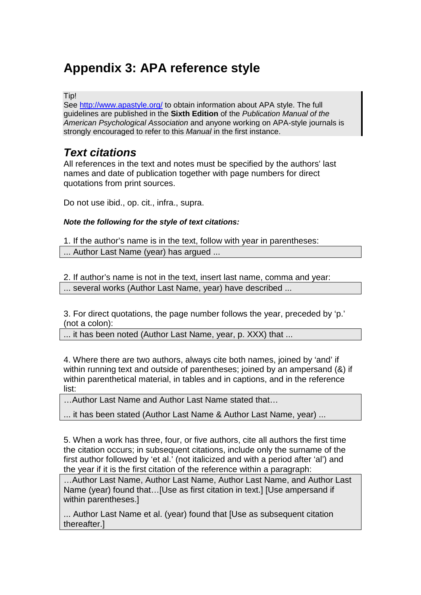# **Appendix 3: APA reference style**

#### Tip!

See<http://www.apastyle.org/> to obtain information about APA style. The full guidelines are published in the **Sixth Edition** of the *Publication Manual of the American Psychological Association* and anyone working on APA-style journals is strongly encouraged to refer to this *Manual* in the first instance.

# *Text citations*

All references in the text and notes must be specified by the authors' last names and date of publication together with page numbers for direct quotations from print sources.

Do not use ibid., op. cit., infra., supra.

### *Note the following for the style of text citations:*

1. If the author's name is in the text, follow with year in parentheses: ... Author Last Name (year) has argued ...

2. If author's name is not in the text, insert last name, comma and year: ... several works (Author Last Name, year) have described ...

3. For direct quotations, the page number follows the year, preceded by 'p.' (not a colon):

... it has been noted (Author Last Name, year, p. XXX) that ...

4. Where there are two authors, always cite both names, joined by 'and' if within running text and outside of parentheses; joined by an ampersand (&) if within parenthetical material, in tables and in captions, and in the reference list:

…Author Last Name and Author Last Name stated that…

... it has been stated (Author Last Name & Author Last Name, year) ...

5. When a work has three, four, or five authors, cite all authors the first time the citation occurs; in subsequent citations, include only the surname of the first author followed by 'et al.' (not italicized and with a period after 'al') and the year if it is the first citation of the reference within a paragraph:

…Author Last Name, Author Last Name, Author Last Name, and Author Last Name (year) found that…[Use as first citation in text.] [Use ampersand if within parentheses.]

... Author Last Name et al. (year) found that [Use as subsequent citation thereafter.]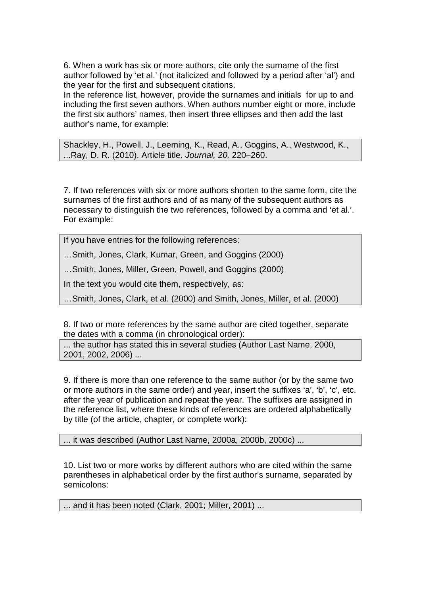6. When a work has six or more authors, cite only the surname of the first author followed by 'et al.' (not italicized and followed by a period after 'al') and the year for the first and subsequent citations.

In the reference list, however, provide the surnames and initials for up to and including the first seven authors. When authors number eight or more, include the first six authors' names, then insert three ellipses and then add the last author's name, for example:

Shackley, H., Powell, J., Leeming, K., Read, A., Goggins, A., Westwood, K., ...Ray, D. R. (2010). Article title. *Journal, 20,* 220−260.

7. If two references with six or more authors shorten to the same form, cite the surnames of the first authors and of as many of the subsequent authors as necessary to distinguish the two references, followed by a comma and 'et al.'. For example:

If you have entries for the following references:

…Smith, Jones, Clark, Kumar, Green, and Goggins (2000)

…Smith, Jones, Miller, Green, Powell, and Goggins (2000)

In the text you would cite them, respectively, as:

…Smith, Jones, Clark, et al. (2000) and Smith, Jones, Miller, et al. (2000)

8. If two or more references by the same author are cited together, separate the dates with a comma (in chronological order):

... the author has stated this in several studies (Author Last Name, 2000, 2001, 2002, 2006) ...

9. If there is more than one reference to the same author (or by the same two or more authors in the same order) and year, insert the suffixes 'a', 'b', 'c', etc. after the year of publication and repeat the year. The suffixes are assigned in the reference list, where these kinds of references are ordered alphabetically by title (of the article, chapter, or complete work):

... it was described (Author Last Name, 2000a, 2000b, 2000c) ...

10. List two or more works by different authors who are cited within the same parentheses in alphabetical order by the first author's surname, separated by semicolons:

... and it has been noted (Clark, 2001; Miller, 2001) ...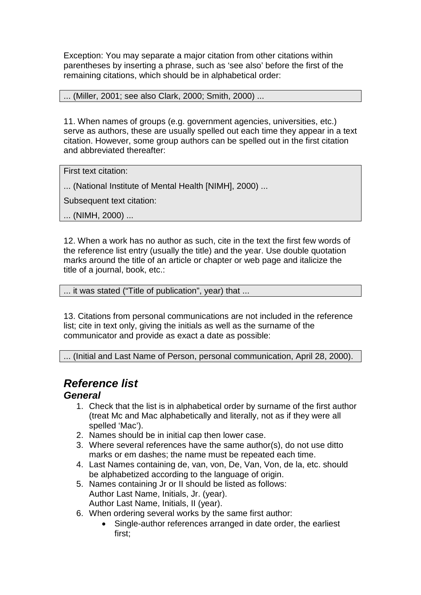Exception: You may separate a major citation from other citations within parentheses by inserting a phrase, such as 'see also' before the first of the remaining citations, which should be in alphabetical order:

### ... (Miller, 2001; see also Clark, 2000; Smith, 2000) ...

11. When names of groups (e.g. government agencies, universities, etc.) serve as authors, these are usually spelled out each time they appear in a text citation. However, some group authors can be spelled out in the first citation and abbreviated thereafter:

First text citation:

... (National Institute of Mental Health [NIMH], 2000) ...

Subsequent text citation:

... (NIMH, 2000) ...

12. When a work has no author as such, cite in the text the first few words of the reference list entry (usually the title) and the year. Use double quotation marks around the title of an article or chapter or web page and italicize the title of a journal, book, etc.:

... it was stated ("Title of publication", year) that ...

13. Citations from personal communications are not included in the reference list; cite in text only, giving the initials as well as the surname of the communicator and provide as exact a date as possible:

... (Initial and Last Name of Person, personal communication, April 28, 2000).

# *Reference list*

# *General*

- 1. Check that the list is in alphabetical order by surname of the first author (treat Mc and Mac alphabetically and literally, not as if they were all spelled 'Mac').
- 2. Names should be in initial cap then lower case.
- 3. Where several references have the same author(s), do not use ditto marks or em dashes; the name must be repeated each time.
- 4. Last Names containing de, van, von, De, Van, Von, de la, etc. should be alphabetized according to the language of origin.
- 5. Names containing Jr or II should be listed as follows: Author Last Name, Initials, Jr. (year). Author Last Name, Initials, II (year).
- 6. When ordering several works by the same first author:
	- Single-author references arranged in date order, the earliest first;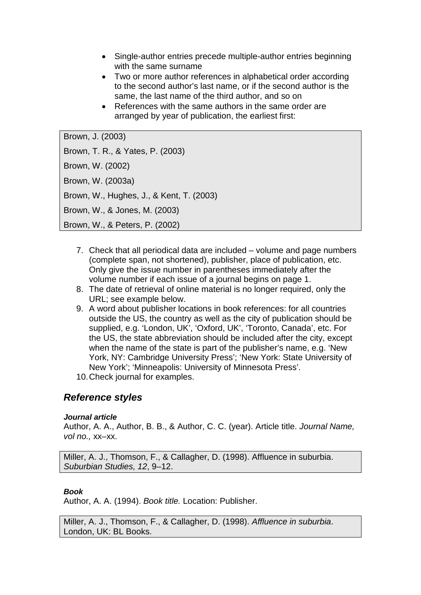- Single-author entries precede multiple-author entries beginning with the same surname
- Two or more author references in alphabetical order according to the second author's last name, or if the second author is the same, the last name of the third author, and so on
- References with the same authors in the same order are arranged by year of publication, the earliest first:

```
Brown, J. (2003)
Brown, T. R., & Yates, P. (2003)
Brown, W. (2002)
Brown, W. (2003a)
Brown, W., Hughes, J., & Kent, T. (2003)
Brown, W., & Jones, M. (2003)
Brown, W., & Peters, P. (2002)
```
- 7. Check that all periodical data are included volume and page numbers (complete span, not shortened), publisher, place of publication, etc. Only give the issue number in parentheses immediately after the volume number if each issue of a journal begins on page 1.
- 8. The date of retrieval of online material is no longer required, only the URL; see example below.
- 9. A word about publisher locations in book references: for all countries outside the US, the country as well as the city of publication should be supplied, e.g. 'London, UK', 'Oxford, UK', 'Toronto, Canada', etc. For the US, the state abbreviation should be included after the city, except when the name of the state is part of the publisher's name, e.g. 'New York, NY: Cambridge University Press'; 'New York: State University of New York'; 'Minneapolis: University of Minnesota Press'.
- 10.Check journal for examples.

# *Reference styles*

#### *Journal article*

Author, A. A., Author, B. B., & Author, C. C. (year). Article title. *Journal Name, vol no.,* xx–xx.

Miller, A. J., Thomson, F., & Callagher, D. (1998). Affluence in suburbia. *Suburbian Studies, 12*, 9–12.

### *Book*

Author, A. A. (1994). *Book title.* Location: Publisher.

Miller, A. J., Thomson, F., & Callagher, D. (1998). *Affluence in suburbia*. London, UK: BL Books.